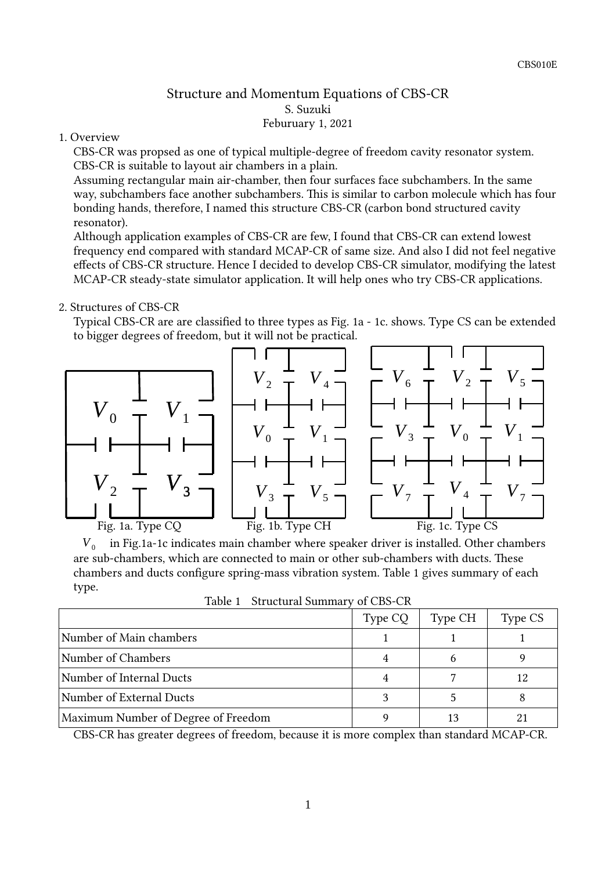### Structure and Momentum Equations of CBS-CR S. Suzuki Feburuary 1, 2021

#### 1. Overview

CBS-CR was propsed as one of typical multiple-degree of freedom cavity resonator system. CBS-CR is suitable to layout air chambers in a plain.

Assuming rectangular main air-chamber, then four surfaces face subchambers. In the same way, subchambers face another subchambers. This is similar to carbon molecule which has four bonding hands, therefore, I named this structure CBS-CR (carbon bond structured cavity resonator).

Although application examples of CBS-CR are few, I found that CBS-CR can extend lowest frequency end compared with standard MCAP-CR of same size. And also I did not feel negative effects of CBS-CR structure. Hence I decided to develop CBS-CR simulator, modifying the latest MCAP-CR steady-state simulator application. It will help ones who try CBS-CR applications.

#### 2. Structures of CBS-CR

Typical CBS-CR are are classified to three types as Fig. 1a - 1c. shows. Type CS can be extended to bigger degrees of freedom, but it will not be practical.



 $V_0$  in Fig.1a-1c indicates main chamber where speaker driver is installed. Other chambers are sub-chambers, which are connected to main or other sub-chambers with ducts. These chambers and ducts configure spring-mass vibration system. Table 1 gives summary of each type.

Table 1 Structural Summary of CBS-CR

|                                     | Type CQ | Type CH | Type CS |
|-------------------------------------|---------|---------|---------|
| Number of Main chambers             |         |         |         |
| Number of Chambers                  |         |         |         |
| Number of Internal Ducts            |         |         | 12      |
| Number of External Ducts            |         |         |         |
| Maximum Number of Degree of Freedom |         |         |         |

CBS-CR has greater degrees of freedom, because it is more complex than standard MCAP-CR.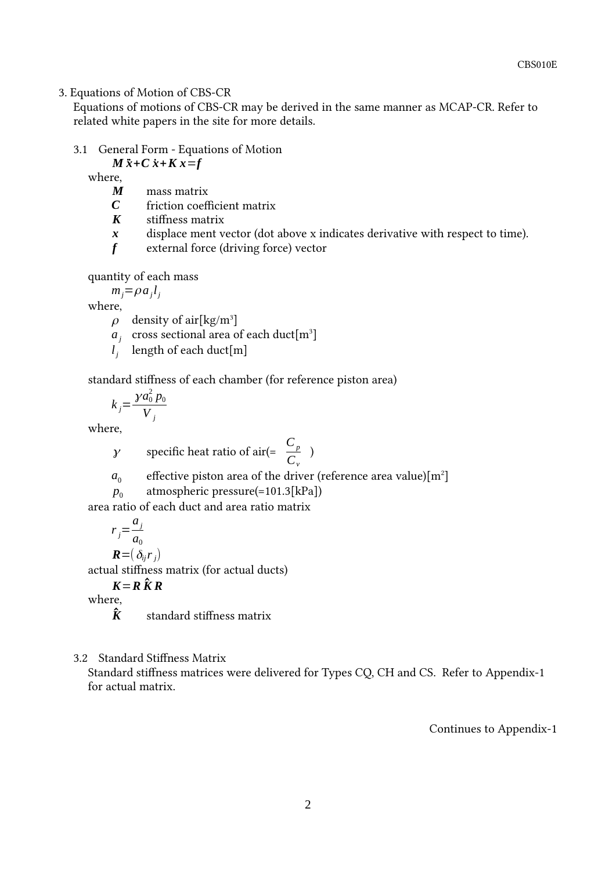#### 3. Equations of Motion of CBS-CR

Equations of motions of CBS-CR may be derived in the same manner as MCAP-CR. Refer to related white papers in the site for more details.

#### 3.1 General Form - Equations of Motion

### *M*  $\ddot{x}$  + *C*  $\dot{x}$  + *K*  $x$  = *f*

where,

- *M* mass matrix
- *C* friction coefficient matrix
- *K* stiffness matrix
- *x* displace ment vector (dot above x indicates derivative with respect to time).
- *f* external force (driving force) vector

quantity of each mass

 $m_j = \rho a_j l_j$ 

where,

- $\rho$  density of air[kg/m<sup>3</sup>]
- $a_j$  cross sectional area of each duct[m<sup>3</sup>]
- *l j* length of each duct[m]

standard stiffness of each chamber (for reference piston area)

 $k_j =$  $\gamma a_0^2 p_0$ *V j*

where,

- *y* specific heat ratio of air(=  $\frac{C_p}{C_p}$ *Cv*
- $a<sub>0</sub>$ effective piston area of the driver (reference area value) $[m^2]$

)

 $p_0$ atmospheric pressure(=101.3[kPa])

area ratio of each duct and area ratio matrix

 $r_j =$ *aj*  $a<sub>0</sub>$  $\mathbf{R}$ = $(\delta_{ij}r_j)$ 

actual stiffness matrix (for actual ducts)

 $K = R \hat{K} R$ 

where,

 $\hat{\mathbf{K}}$  standard stiffness matrix

3.2 Standard Stiffness Matrix

Standard stiffness matrices were delivered for Types CQ, CH and CS. Refer to Appendix-1 for actual matrix.

Continues to Appendix-1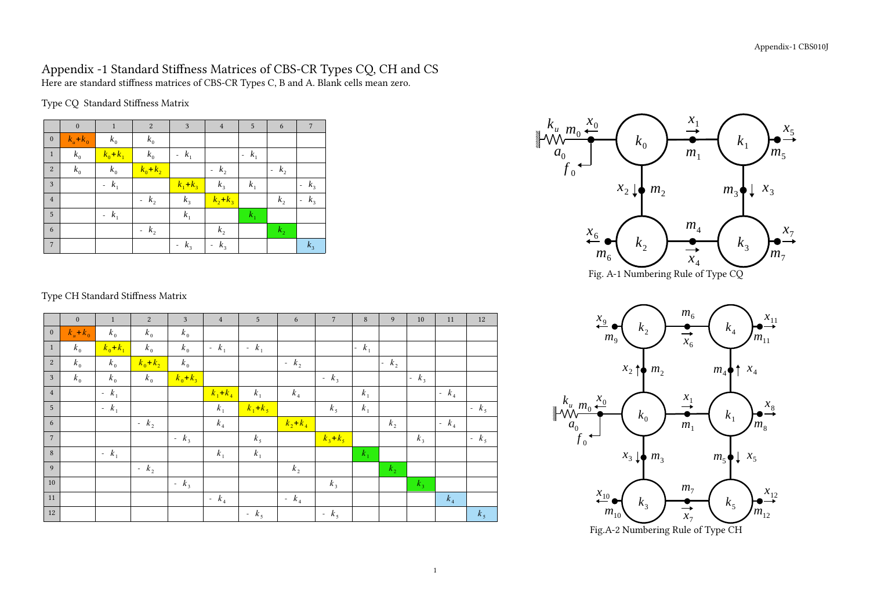## Appendix -1 Standard Stiffness Matrices of CBS-CR Types CQ, CH and CS Here are standard stiffness matrices of CBS-CR Types C, B and A. Blank cells mean zero.

Type CQ Standard Stiffness Matrix

|                  | $\mathbf{0}$          | $\mathbf{1}$ | $\boldsymbol{2}$ | 3           | $\overline{4}$                    | 5       | 6       | $7\phantom{.0}$                   |
|------------------|-----------------------|--------------|------------------|-------------|-----------------------------------|---------|---------|-----------------------------------|
| $\boldsymbol{0}$ | $k_{\mu}$ + $k_{\mu}$ | $k_0$        | $k_0$            |             |                                   |         |         |                                   |
| $\mathbf{1}$     | $k_0$                 | $k_0 + k_1$  | $k_0$            | $-k_1$      |                                   | $-k_1$  |         |                                   |
| $\sqrt{2}$       | $k_0$                 | $k_0$        | $k_0 + k_2$      |             | $-k_2$                            |         | $-k_2$  |                                   |
| 3                |                       | $-k_1$       |                  | $k_1 + k_3$ | $k_{3}$                           | $k_{1}$ |         | $-k_3$                            |
| $\overline{4}$   |                       |              | $-k_2$           | $k_{3}$     | $k_2 + k_3$                       |         | $k_{2}$ | $k_3$<br>$\overline{\phantom{a}}$ |
| 5                |                       | $-k_1$       |                  | $k_1$       |                                   | $k_1$   |         |                                   |
| 6                |                       |              | $-k_2$           |             | $k_{2}$                           |         | $k_{2}$ |                                   |
| $7\phantom{.0}$  |                       |              |                  | $-k_3$      | $k_3$<br>$\overline{\phantom{a}}$ |         |         | $k_{3}$                           |



## Type CH Standard Stiffness Matrix

|                | $\mathbf{0}$ | $\mathbf{1}$ | 2           | 3           | $\overline{4}$ | 5 <sup>5</sup> | $\sqrt{6}$  | $\overline{7}$ | $\,8\,$ | 9                                       | 10     | 11      | 12             |
|----------------|--------------|--------------|-------------|-------------|----------------|----------------|-------------|----------------|---------|-----------------------------------------|--------|---------|----------------|
| $\mathbf{0}$   | $k_u+k_0$    | $k_{0}$      | $k_0$       | $k_0$       |                |                |             |                |         |                                         |        |         |                |
| $\mathbf{1}$   | $k_0$        | $k_0 + k_1$  | $k_0$       | $k_0$       | $-k_1$         | $-k_1$         |             |                | $-k_1$  |                                         |        |         |                |
| 2              | $k_{0}$      | $k_{0}$      | $k_0 + k_2$ | $k_0$       |                |                | - $k_2$     |                |         | $\begin{vmatrix} - & k_2 \end{vmatrix}$ |        |         |                |
| $\mathfrak{Z}$ | $k_0$        | $k_{0}$      | $k_0$       | $k_0 + k_3$ |                |                |             | $-k_3$         |         |                                         | $-k_3$ |         |                |
| $\overline{4}$ |              | $-k_1$       |             |             | $k_1 + k_4$    | $k_1$          | $k_4$       |                | $k_1$   |                                         |        | - $k_4$ |                |
| $\overline{5}$ |              | $-k_1$       |             |             | $k_1$          | $k_1 + k_5$    |             | k <sub>5</sub> | $k_1$   |                                         |        |         | $-k5$          |
| 6              |              |              | $-k2$       |             | $k_4$          |                | $k_2 + k_4$ |                |         | $k_{2}$                                 |        | $-k_4$  |                |
| $\overline{7}$ |              |              |             | $-k_3$      |                | k <sub>5</sub> |             | $k_3 + k_5$    |         |                                         | $k_3$  |         | $-k5$          |
| 8              |              | $-k_1$       |             |             | $k_1$          | $k_1$          |             |                | $k_1$   |                                         |        |         |                |
| 9              |              |              | $-k2$       |             |                |                | $k_{2}$     |                |         | $k_{2}$                                 |        |         |                |
| 10             |              |              |             | $-k_3$      |                |                |             | $k_3$          |         |                                         | $k_3$  |         |                |
| 11             |              |              |             |             | $-k_4$         |                | - $k_4$     |                |         |                                         |        | $k_4$   |                |
| 12             |              |              |             |             |                | $-k5$          |             | $-k5$          |         |                                         |        |         | k <sub>5</sub> |



Fig.A-2 Numbering Rule of Type CH